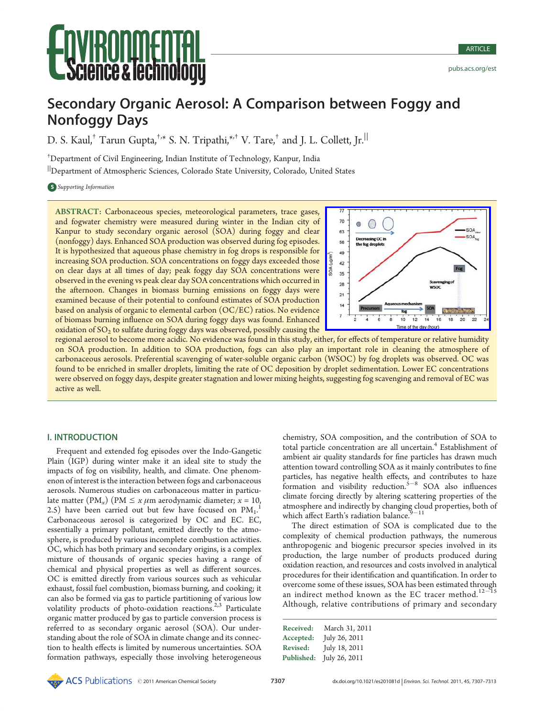# Secondary Organic Aerosol: A Comparison between Foggy and Nonfoggy Days

D. S. Kaul.<sup>†</sup> Tarun Gupta.<sup>†,\*</sup> S. N. Tripathi.<sup>\*,†</sup> V. Tare.<sup>†</sup> and I. L. Collett. Ir.<sup>||</sup>

† Department of Civil Engineering, Indian Institute of Technology, Kanpur, India

<sup>||</sup>Department of Atmospheric Sciences, Colorado State University, Colorado, United States

**S** Supporting Information

ABSTRACT: Carbonaceous species, meteorological parameters, trace gases, and fogwater chemistry were measured during winter in the Indian city of Kanpur to study secondary organic aerosol (SOA) during foggy and clear (nonfoggy) days. Enhanced SOA production was observed during fog episodes. It is hypothesized that aqueous phase chemistry in fog drops is responsible for increasing SOA production. SOA concentrations on foggy days exceeded those on clear days at all times of day; peak foggy day SOA concentrations were observed in the evening vs peak clear day SOA concentrations which occurred in the afternoon. Changes in biomass burning emissions on foggy days were examined because of their potential to confound estimates of SOA production based on analysis of organic to elemental carbon (OC/EC) ratios. No evidence of biomass burning influence on SOA during foggy days was found. Enhanced oxidation of  $SO<sub>2</sub>$  to sulfate during foggy days was observed, possibly causing the



regional aerosol to become more acidic. No evidence was found in this study, either, for eff[ects](http://pubs.acs.org/action/showImage?doi=10.1021/es201081d&iName=master.img-000.jpg&w=179&h=133) [of](http://pubs.acs.org/action/showImage?doi=10.1021/es201081d&iName=master.img-000.jpg&w=179&h=133) [temperature](http://pubs.acs.org/action/showImage?doi=10.1021/es201081d&iName=master.img-000.jpg&w=179&h=133) [or](http://pubs.acs.org/action/showImage?doi=10.1021/es201081d&iName=master.img-000.jpg&w=179&h=133) [relative](http://pubs.acs.org/action/showImage?doi=10.1021/es201081d&iName=master.img-000.jpg&w=179&h=133) [humidity](http://pubs.acs.org/action/showImage?doi=10.1021/es201081d&iName=master.img-000.jpg&w=179&h=133) on SOA production. In addition to SOA production, fogs can also play an important role in cleaning the atmosphere of carbonaceous aerosols. Preferential scavenging of water-soluble organic carbon (WSOC) by fog droplets was observed. OC was found to be enriched in smaller droplets, limiting the rate of OC deposition by droplet sedimentation. Lower EC concentrations were observed on foggy days, despite greater stagnation and lower mixing heights, suggesting fog scavenging and removal of EC was active as well.

# I. INTRODUCTION

**PCHIRE (ENTIRE THE CONTRACTS)** PROCESSOR **CONTRACTS** CONTRACTS CONTRACTS CONTRACTS CONTRACTS CONTRACTS CONTRACTS CONTRACTS CONTRACTS CONTRACTS CONTRACTS CONTRACTS CONTRACTS CONTRACTS CONTRACTS CONTRACTS CONTRACTS CONTRAC Frequent and extended fog episodes over the Indo-Gangetic Plain (IGP) during winter make it an ideal site to study the impacts of fog on visibility, health, and climate. One phenomenon of interest is the interaction between fogs and carbonaceous aerosols. Numerous studies on carbonaceous matter in particulate matter  $(PM_x)$   $(PM \le x \mu m$  aerodynamic diameter;  $x = 10$ , 2.5) have been carried out but few have focused on  $PM_1$ . Carbonaceous aerosol is categorized by OC and EC. EC, essentially a primary pollutant, emitted directly to the atmosphere, is produced by various incomplete combustion activities. OC, which has both primary and secondary origins, is a complex mixture of thousands of organic species having a range of chemical and physical properties as well as different sources. OC is emitted directly from various sources such as vehicular exhaust, fossil fuel combustion, biomass burning, and cooking; it can also be formed via gas to particle partitioning of various low volatility products of photo-oxidation reactions.<sup>2,3</sup> Particulate organic matter produced by gas to particle conversion process is referred to as secondary organic aerosol (SOA). Our understanding about the role of SOA in climate change and its connection to health effects is limited by numerous uncertainties. SOA formation pathways, especially those involving heterogeneous

chemistry, SOA composition, and the contribution of SOA to total particle concentration are all uncertain.<sup>4</sup> Establishment of ambient air quality standards for fine particles has drawn much attention toward controlling SOA as it mainly contributes to fine particles, has negative health effects, and contributes to haze formation and visibility reduction. $5-8$  SOA also influences climate forcing directly by altering scattering properties of the atmosphere and indirectly by changing cloud properties, both of which affect Earth's radiation balance. $9-11$ 

The direct estimation of SOA is complicated due to the complexity of chemical production pathways, the numerous anthropogenic and biogenic precursor species involved in its production, the large number of products produced during oxidation reaction, and resources and costs involved in analytical procedures for their identification and quantification. In order to overcome some of these issues, SOA has been estimated through an indirect method known as the EC tracer method.<sup>12-15</sup> Although, relative contributions of primary and secondary

| Received:       | March 31, 2011 |
|-----------------|----------------|
| Accepted:       | July 26, 2011  |
| <b>Revised:</b> | July 18, 2011  |
| Published:      | July 26, 2011  |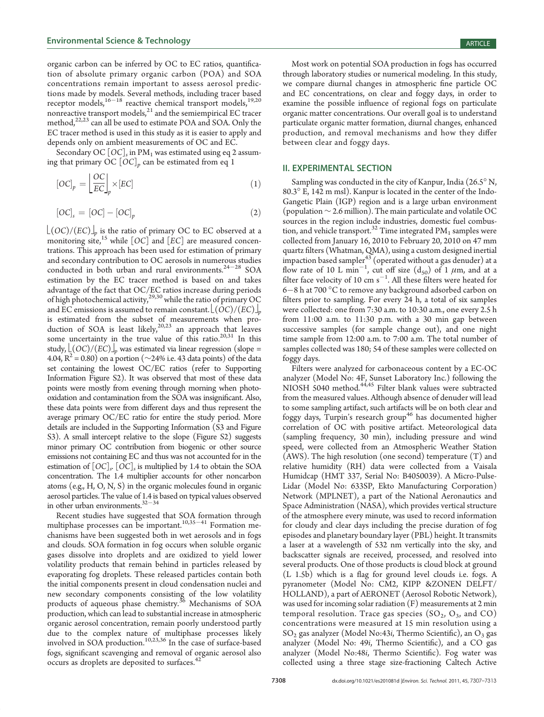organic carbon can be inferred by OC to EC ratios, quantification of absolute primary organic carbon (POA) and SOA concentrations remain important to assess aerosol predictions made by models. Several methods, including tracer based receptor models,<sup>16-18</sup> reactive chemical transport models,<sup>19,20</sup> nonreactive transport models,<sup>21</sup> and the semiempirical EC tracer method, $^{22,23}$  can all be used to estimate POA and SOA. Only the EC tracer method is used in this study as it is easier to apply and depends only on ambient measurements of OC and EC.

Secondary OC  $[OC]_s$  in PM<sub>1</sub> was estimated using eq 2 assuming that primary OC  $[OC]_p$  can be estimated from eq 1

$$
[OC]_p = \left\lfloor \frac{OC}{EC} \right\rfloor_p \times [EC] \tag{1}
$$

$$
[OC]_s = [OC] - [OC]_p \tag{2}
$$

 $\lfloor (OC)/(EC) \rfloor_n$  is the ratio of primary OC to EC observed at a monitoring site,<sup>15</sup> while  $[OC]$  and  $[EC]$  are measured concentrations. This approach has been used for estimation of primary and secondary contribution to OC aerosols in numerous studies conducted in both urban and rural environments. $24-28$  SOA estimation by the EC tracer method is based on and takes advantage of the fact that OC/EC ratios increase during periods of high photochemical activity,<sup>29,30</sup> while the ratio of primary OC and EC emissions is assumed to remain constant.  $\lfloor (OC)/(EC) \rfloor_p$ is estimated from the subset of measurements when production of SOA is least likely, $20,23$  an approach that leaves some uncertainty in the true value of this ratio. $20,31$  In this study,  $\lfloor (OC)/(EC) \rfloor_p$  was estimated via linear regression (slope = 4.04,  $R^2$  = 0.80) on a portion ( $\sim$ 24% i.e. 43 data points) of the data set containing the lowest OC/EC ratios (refer to Supporting Information Figure S2). It was observed that most of these data points were mostly from evening through morning when photooxidation and contamination from the SOA was insignificant. Also, these data points were from different days and thus represent the average primary OC/EC ratio for entire the study period. More details are included in the Supporting Information (S3 and Figure S3). A small intercept relative to the slope (Figure S2) suggests minor primary OC contribution from biogenic or other source emissions not containing EC and thus was not accounted for in the estimation of  $[OC]_s$ .  $[OC]_s$  is multiplied by 1.4 to obtain the SOA concentration. The 1.4 multiplier accounts for other noncarbon atoms (e.g., H, O, N, S) in the organic molecules found in organic aerosol particles. The value of 1.4 is based on typical values observed in other urban environments. $32-34$ 

Recent studies have suggested that SOA formation through multiphase processes can be important.<sup>10,35-41</sup> Formation mechanisms have been suggested both in wet aerosols and in fogs and clouds. SOA formation in fog occurs when soluble organic gases dissolve into droplets and are oxidized to yield lower volatility products that remain behind in particles released by evaporating fog droplets. These released particles contain both the initial components present in cloud condensation nuclei and new secondary components consisting of the low volatility products of aqueous phase chemistry.<sup>36</sup> Mechanisms of SOA production, which can lead to substantial increase in atmospheric organic aerosol concentration, remain poorly understood partly due to the complex nature of multiphase processes likely involved in SOA production.<sup>10,23,36</sup> In the case of surface-based fogs, significant scavenging and removal of organic aerosol also occurs as droplets are deposited to surfaces.<sup>42</sup>

Most work on potential SOA production in fogs has occurred through laboratory studies or numerical modeling. In this study, we compare diurnal changes in atmospheric fine particle OC and EC concentrations, on clear and foggy days, in order to examine the possible influence of regional fogs on particulate organic matter concentrations. Our overall goal is to understand particulate organic matter formation, diurnal changes, enhanced production, and removal mechanisms and how they differ between clear and foggy days.

# II. EXPERIMENTAL SECTION

Sampling was conducted in the city of Kanpur, India (26.5° N, 80.3° E, 142 m msl). Kanpur is located in the center of the Indo-Gangetic Plain (IGP) region and is a large urban environment (population ∼ 2.6 million). The main particulate and volatile OC sources in the region include industries, domestic fuel combustion, and vehicle transport.<sup>32</sup> Time integrated  $PM_1$  samples were collected from January 16, 2010 to February 20, 2010 on 47 mm quartz filters (Whatman, QMA), using a custom designed inertial impaction based sampler  $^{43}$  (operated without a gas denuder) at a flow rate of 10 L min<sup>-1</sup>, cut off size  $(d_{50})$  of 1  $\mu$ m, and at a filter face velocity of 10 cm  $s^{-1}$ . All these filters were heated for  $6-8$  h at 700  $^{\circ}$ C to remove any background adsorbed carbon on filters prior to sampling. For every 24 h, a total of six samples were collected: one from 7:30 a.m. to 10:30 a.m., one every 2.5 h from 11:00 a.m. to 11:30 p.m. with a 30 min gap between successive samples (for sample change out), and one night time sample from 12:00 a.m. to 7:00 a.m. The total number of samples collected was 180; 54 of these samples were collected on foggy days.

Filters were analyzed for carbonaceous content by a EC-OC analyzer (Model No: 4F, Sunset Laboratory Inc.) following the NIOSH 5040 method.<sup>44,45</sup> Filter blank values were subtracted from the measured values. Although absence of denuder will lead to some sampling artifact, such artifacts will be on both clear and foggy days, Turpin's research group<sup>46</sup> has documented higher correlation of OC with positive artifact. Meteorological data (sampling frequency, 30 min), including pressure and wind speed, were collected from an Atmospheric Weather Station (AWS). The high resolution (one second) temperature (T) and relative humidity (RH) data were collected from a Vaisala Humidcap (HMT 337, Serial No: B4050039). A Micro-Pulse-Lidar (Model No: 633SP, Ekto Manufacturing Corporation) Network (MPLNET), a part of the National Aeronautics and Space Administration (NASA), which provides vertical structure of the atmosphere every minute, was used to record information for cloudy and clear days including the precise duration of fog episodes and planetary boundary layer (PBL) height. It transmits a laser at a wavelength of 532 nm vertically into the sky, and backscatter signals are received, processed, and resolved into several products. One of those products is cloud block at ground (L 1.5b) which is a flag for ground level clouds i.e. fogs. A pyranometer (Model No: CM2, KIPP &ZONEN DELFT/ HOLLAND), a part of AERONET (Aerosol Robotic Network), was used for incoming solar radiation (F) measurements at 2 min temporal resolution. Trace gas species  $(SO_2, O_3)$  and CO) concentrations were measured at 15 min resolution using a  $SO<sub>2</sub>$  gas analyzer (Model No:43*i*, Thermo Scientific), an  $O<sub>3</sub>$  gas analyzer (Model No: 49i, Thermo Scientific), and a CO gas analyzer (Model No:48i, Thermo Scientific). Fog water was collected using a three stage size-fractioning Caltech Active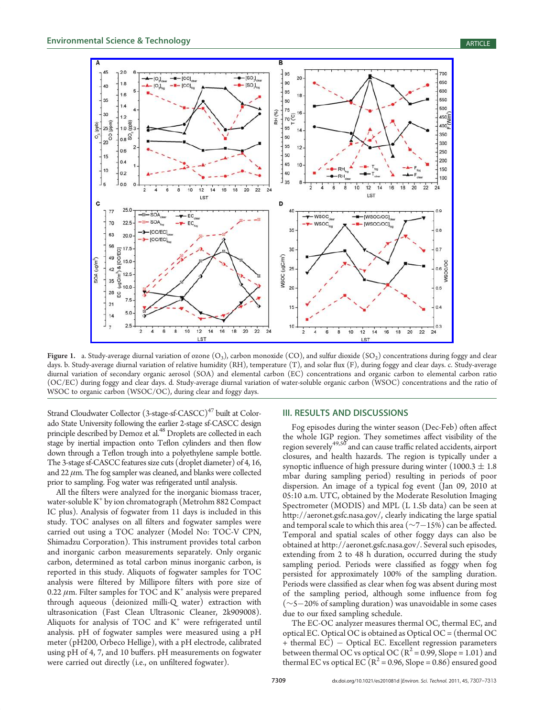

Figure 1. a. Study-average diurnal variation of ozone  $(O_3)$ , carbon monoxide  $(CO)$ , and sulfur dioxide  $(SO_2)$  concentrations during foggy and clear days. b. Study-average diurnal variation of relative humidity (RH), temperature (T), and solar flux (F), during foggy and clear days. c. Study-average diurnal variation of secondary organic aerosol (SOA) and elemental carbon (EC) concentrations and organic carbon to elemental carbon ratio (OC/EC) during foggy and clear days. d. Study-average diurnal variation of water-soluble organic carbon (WSOC) concentrations and the ratio of WSOC to organic carbon (WSOC/OC), during clear and foggy days.

Strand Cloudwater Collector (3-stage-sf-CASCC)<sup>47</sup> built at Colorado State University following the earlier 2-stage sf-CASCC design principle described by Demoz et al.<sup>48</sup> Droplets are collected in each stage by inertial impaction onto Teflon cylinders and then flow down through a Teflon trough into a polyethylene sample bottle. The 3-stage sf-CASCC features size cuts (droplet diameter) of 4, 16, and  $22 \mu$ m. The fog sampler was cleaned, and blanks were collected prior to sampling. Fog water was refrigerated until analysis.

All the filters were analyzed for the inorganic biomass tracer, water-soluble K<sup>+</sup> by ion chromatograph (Metrohm 882 Compact IC plus). Analysis of fogwater from 11 days is included in this study. TOC analyses on all filters and fogwater samples were carried out using a TOC analyzer (Model No: TOC-V CPN, Shimadzu Corporation). This instrument provides total carbon and inorganic carbon measurements separately. Only organic carbon, determined as total carbon minus inorganic carbon, is reported in this study. Aliquots of fogwater samples for TOC analysis were filtered by Millipore filters with pore size of 0.22  $\mu$ m. Filter samples for TOC and K<sup>+</sup> analysis were prepared through aqueous (deionized milli-Q water) extraction with ultrasonication (Fast Clean Ultrasonic Cleaner, 2k909008). Aliquots for analysis of TOC and  $K^+$  were refrigerated until analysis. pH of fogwater samples were measured using a pH meter (pH200, Orbeco Hellige), with a pH electrode, calibrated using pH of 4, 7, and 10 buffers. pH measurements on fogwater were carried out directly (i.e., on unfiltered fogwater).

## III. RESULTS AND DISCUSSIONS

Fog episodes during the winter season (Dec-Feb) often affect the whole IGP region. They sometimes affect visibility of the region severely<sup>49,50</sup> and can cause traffic related accidents, airport closures, and health hazards. The region is typically under a synoptic influence of high pressure during winter  $(1000.3 \pm 1.8)$ mbar during sampling period) resulting in periods of poor dispersion. An image of a typical fog event (Jan 09, 2010 at 05:10 a.m. UTC, obtained by the Moderate Resolution Imaging Spectrometer (MODIS) and MPL (L 1.5b data) can be seen at http://aeronet.gsfc.nasa.gov/, clearly indicating the large spatial and temporal scale to which this area ( $\sim$ 7 $-15\%$ ) can be affected. Temporal and spatial scales of other foggy days can also be obtained at http://aeronet.gsfc.nasa.gov/. Several such episodes, extending from 2 to 48 h duration, occurred during the study sampling period. Periods were classified as foggy when fog persisted for approximately 100% of the sampling duration. Periods were classified as clear when fog was absent during most of the sampling period, although some influence from fog  $(\sim$ 5 $-20\%$  of sampling duration) was unavoidable in some cases due to our fixed sampling schedule.

The EC-OC analyzer measures thermal OC, thermal EC, and optical EC. Optical OC is obtained as Optical OC = (thermal OC + thermal EC) – Optical EC. Excellent regression parameters between thermal OC vs optical OC  $(R^2 = 0.99, \text{Slope} = 1.01)$  and thermal EC vs optical EC ( $R^2$  = 0.96, Slope = 0.86) ensured good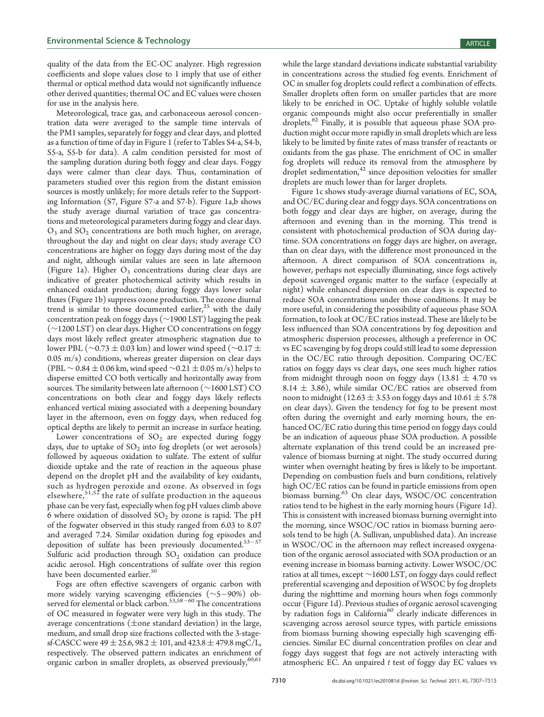quality of the data from the EC-OC analyzer. High regression coefficients and slope values close to 1 imply that use of either thermal or optical method data would not significantly influence other derived quantities; thermal OC and EC values were chosen for use in the analysis here.

Meteorological, trace gas, and carbonaceous aerosol concentration data were averaged to the sample time intervals of the PM1 samples, separately for foggy and clear days, and plotted as a function of time of day in Figure 1 (refer to Tables S4-a, S4-b, S5-a, S5-b for data). A calm condition persisted for most of the sampling duration during both foggy and clear days. Foggy days were calmer than clear days. Thus, contamination of parameters studied over this region from the distant emission sources is mostly unlikely; for more details refer to the Supporting Information (S7, Figure S7-a and S7-b). Figure 1a,b shows the study average diurnal variation of trace gas concentrations and meteorological parameters during foggy and clear days.  $O_3$  and  $SO_2$  concentrations are both much higher, on average, throughout the day and night on clear days; study average CO concentrations are higher on foggy days during most of the day and night, although similar values are seen in late afternoon (Figure 1a). Higher  $O_3$  concentrations during clear days are indicative of greater photochemical activity which results in enhanced oxidant production; during foggy days lower solar fluxes (Figure 1b) suppress ozone production. The ozone diurnal trend is similar to those documented earlier, $25$  with the daily concentration peak on foggy days (∼1900 LST) lagging the peak (∼1200 LST) on clear days. Higher CO concentrations on foggy days most likely reflect greater atmospheric stagnation due to lower PBL ( $\sim$ 0.73  $\pm$  0.03 km) and lower wind speed ( $\sim$ 0.17  $\pm$ 0.05 m/s) conditions, whereas greater dispersion on clear days (PBL  $\sim$  0.84  $\pm$  0.06 km, wind speed  $\sim$ 0.21  $\pm$  0.05 m/s) helps to disperse emitted CO both vertically and horizontally away from sources. The similarity between late afternoon (∼1600 LST) CO concentrations on both clear and foggy days likely reflects enhanced vertical mixing associated with a deepening boundary layer in the afternoon, even on foggy days, when reduced fog optical depths are likely to permit an increase in surface heating.

Lower concentrations of  $SO<sub>2</sub>$  are expected during foggy days, due to uptake of  $SO_2$  into fog droplets (or wet aerosols) followed by aqueous oxidation to sulfate. The extent of sulfur dioxide uptake and the rate of reaction in the aqueous phase depend on the droplet pH and the availability of key oxidants, such as hydrogen peroxide and ozone. As observed in fogs elsewhere,  $51,52$  the rate of sulfate production in the aqueous phase can be very fast, especially when fog pH values climb above 6 where oxidation of dissolved  $SO_2$  by ozone is rapid. The pH of the fogwater observed in this study ranged from 6.03 to 8.07 and averaged 7.24. Similar oxidation during fog episodes and deposition of sulfate has been previously documented. $53-57$ Sulfuric acid production through  $SO_2$  oxidation can produce acidic aerosol. High concentrations of sulfate over this region have been documented earlier.<sup>50</sup>

Fogs are often effective scavengers of organic carbon with more widely varying scavenging efficiencies  $(\sim 5-90\%)$  observed for elemental or black carbon.<sup>53,58-60</sup> The concentrations of OC measured in fogwater were very high in this study. The average concentrations ( $\pm$ one standard deviation) in the large, medium, and small drop size fractions collected with the 3-stagesf-CASCC were  $49 \pm 25.6$ ,  $98.2 \pm 101$ , and  $423.8 \pm 479.8$  mgC/L, respectively. The observed pattern indicates an enrichment of organic carbon in smaller droplets, as observed previously,  $60,61$ 

while the large standard deviations indicate substantial variability in concentrations across the studied fog events. Enrichment of OC in smaller fog droplets could reflect a combination of effects. Smaller droplets often form on smaller particles that are more likely to be enriched in OC. Uptake of highly soluble volatile organic compounds might also occur preferentially in smaller droplets.<sup>62</sup> Finally, it is possible that aqueous phase SOA production might occur more rapidly in small droplets which are less likely to be limited by finite rates of mass transfer of reactants or oxidants from the gas phase. The enrichment of OC in smaller fog droplets will reduce its removal from the atmosphere by droplet sedimentation,<sup>42</sup> since deposition velocities for smaller droplets are much lower than for larger droplets.

Figure 1c shows study-average diurnal variations of EC, SOA, and OC/EC during clear and foggy days. SOA concentrations on both foggy and clear days are higher, on average, during the afternoon and evening than in the morning. This trend is consistent with photochemical production of SOA during daytime. SOA concentrations on foggy days are higher, on average, than on clear days, with the difference most pronounced in the afternoon. A direct comparison of SOA concentrations is, however, perhaps not especially illuminating, since fogs actively deposit scavenged organic matter to the surface (especially at night) while enhanced dispersion on clear days is expected to reduce SOA concentrations under those conditions. It may be more useful, in considering the possibility of aqueous phase SOA formation, to look at OC/EC ratios instead. These are likely to be less influenced than SOA concentrations by fog deposition and atmospheric dispersion processes, although a preference in OC vs EC scavenging by fog drops could still lead to some depression in the OC/EC ratio through deposition. Comparing OC/EC ratios on foggy days vs clear days, one sees much higher ratios from midnight through noon on foggy days ( $13.81 \pm 4.70$  vs 8.14  $\pm$  3.86), while similar OC/EC ratios are observed from noon to midnight (12.63  $\pm$  3.53 on foggy days and 10.61  $\pm$  5.78 on clear days). Given the tendency for fog to be present most often during the overnight and early morning hours, the enhanced OC/EC ratio during this time period on foggy days could be an indication of aqueous phase SOA production. A possible alternate explanation of this trend could be an increased prevalence of biomass burning at night. The study occurred during winter when overnight heating by fires is likely to be important. Depending on combustion fuels and burn conditions, relatively high OC/EC ratios can be found in particle emissions from open biomass burning.<sup>63</sup> On clear days, WSOC/OC concentration ratios tend to be highest in the early morning hours (Figure 1d). This is consistent with increased biomass burning overnight into the morning, since WSOC/OC ratios in biomass burning aerosols tend to be high (A. Sullivan, unpublished data). An increase in WSOC/OC in the afternoon may reflect increased oxygenation of the organic aerosol associated with SOA production or an evening increase in biomass burning activity. Lower WSOC/OC ratios at all times, except <sup>∼</sup>1600 LST, on foggy days could reflect preferential scavenging and deposition of WSOC by fog droplets during the nighttime and morning hours when fogs commonly occur (Figure 1d). Previous studies of organic aerosol scavenging by radiation fogs in California<sup>60</sup> clearly indicate differences in scavenging across aerosol source types, with particle emissions from biomass burning showing especially high scavenging efficiencies. Similar EC diurnal concentration profiles on clear and foggy days suggest that fogs are not actively interacting with atmospheric EC. An unpaired  $t$  test of foggy day EC values vs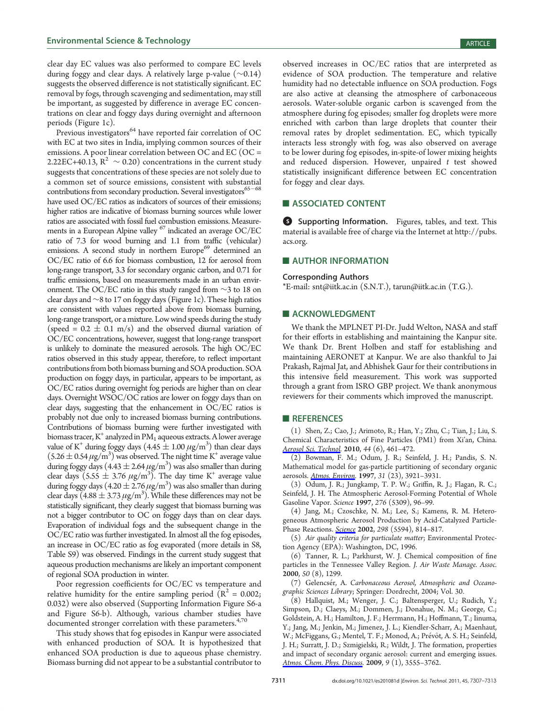clear day EC values was also performed to compare EC levels during foggy and clear days. A relatively large p-value (∼0.14) suggests the observed difference is not statistically significant. EC removal by fogs, through scavenging and sedimentation, may still be important, as suggested by difference in average EC concentrations on clear and foggy days during overnight and afternoon periods (Figure 1c).

Previous investigators<sup>64</sup> have reported fair correlation of OC with EC at two sites in India, implying common sources of their emissions. A poor linear correlation between OC and EC (OC = 2.22EC+40.13,  $R^2 \sim 0.20$ ) concentrations in the current study suggests that concentrations of these species are not solely due to a common set of source emissions, consistent with substantial contributions from secondary production. Several investigators $65-68$ have used OC/EC ratios as indicators of sources of their emissions; higher ratios are indicative of biomass burning sources while lower ratios are associated with fossil fuel combustion emissions. Measurements in a European Alpine valley <sup>67</sup> indicated an average OC/EC ratio of 7.3 for wood burning and 1.1 from traffic (vehicular) emissions. A second study in northern Europe<sup>69</sup> determined an OC/EC ratio of 6.6 for biomass combustion, 12 for aerosol from long-range transport, 3.3 for secondary organic carbon, and 0.71 for traffic emissions, based on measurements made in an urban environment. The OC/EC ratio in this study ranged from ∼3 to 18 on clear days and ∼8 to 17 on foggy days (Figure 1c). These high ratios are consistent with values reported above from biomass burning, long-range transport, or a mixture. Low wind speeds during the study (speed =  $0.2 \pm 0.1$  m/s) and the observed diurnal variation of OC/EC concentrations, however, suggest that long-range transport is unlikely to dominate the measured aerosols. The high OC/EC ratios observed in this study appear, therefore, to reflect important contributions from both biomass burning and SOA production. SOA production on foggy days, in particular, appears to be important, as OC/EC ratios during overnight fog periods are higher than on clear days. Overnight WSOC/OC ratios are lower on foggy days than on clear days, suggesting that the enhancement in OC/EC ratios is probably not due only to increased biomass burning contributions. Contributions of biomass burning were further investigated with biomass tracer,  $K^+$  analyzed in PM<sub>1</sub> aqueous extracts. A lower average value of K<sup>+</sup> during foggy days  $(4.45 \pm 1.00 \ \mu\text{g/m}^3)$  than clear days  $(5.26 \pm 0.54 \,\mu\text{g/m}^3)$  was observed. The night time K<sup>+</sup> average value during foggy days  $(4.43 \pm 2.64 \,\mu\text{g/m}^3)$  was also smaller than during clear days (5.55  $\pm$  3.76  $\mu$ g/m<sup>3</sup>). The day time K<sup>+</sup> average value during foggy days (4.20  $\pm$  2.76  $\mu$ g/m<sup>3</sup>) was also smaller than during clear days  $(4.88 \pm 3.73 \,\mu\text{g/m}^3)$ . While these differences may not be statistically significant, they clearly suggest that biomass burning was not a bigger contributor to OC on foggy days than on clear days. Evaporation of individual fogs and the subsequent change in the OC/EC ratio was further investigated. In almost all the fog episodes, an increase in OC/EC ratio as fog evaporated (more details in S8, Table S9) was observed. Findings in the current study suggest that aqueous production mechanisms are likely an important component of regional SOA production in winter.

Poor regression coefficients for OC/EC vs temperature and relative humidity for the entire sampling period ( $R^2 = 0.002$ ; 0.032) were also observed (Supporting Information Figure S6-a and Figure S6-b). Although, various chamber studies have documented stronger correlation with these parameters. $4,70$ 

This study shows that fog episodes in Kanpur were associated with enhanced production of SOA. It is hypothesized that enhanced SOA production is due to aqueous phase chemistry. Biomass burning did not appear to be a substantial contributor to

observed increases in OC/EC ratios that are interpreted as evidence of SOA production. The temperature and relative humidity had no detectable influence on SOA production. Fogs are also active at cleansing the atmosphere of carbonaceous aerosols. Water-soluble organic carbon is scavenged from the atmosphere during fog episodes; smaller fog droplets were more enriched with carbon than large droplets that counter their removal rates by droplet sedimentation. EC, which typically interacts less strongly with fog, was also observed on average to be lower during fog episodes, in-spite-of lower mixing heights and reduced dispersion. However, unpaired  $t$  test showed statistically insignificant difference between EC concentration for foggy and clear days.

# **ASSOCIATED CONTENT**

**6** Supporting Information. Figures, tables, and text. This material is available free of charge via the Internet at http://pubs. acs.org.

# **AUTHOR INFORMATION**

#### Corresponding Authors

\*E-mail: snt@iitk.ac.in (S.N.T.), tarun@iitk.ac.in (T.G.).

### **ACKNOWLEDGMENT**

We thank the MPLNET PI-Dr. Judd Welton, NASA and staff for their efforts in establishing and maintaining the Kanpur site. We thank Dr. Brent Holben and staff for establishing and maintaining AERONET at Kanpur. We are also thankful to Jai Prakash, Rajmal Jat, and Abhishek Gaur for their contributions in this intensive field measurement. This work was supported through a grant from ISRO GBP project. We thank anonymous reviewers for their comments which improved the manuscript.

### **REFERENCES**

(1) Shen, Z.; Cao, J.; Arimoto, R.; Han, Y.; Zhu, C.; Tian, J.; Liu, S. Chemical Characteristics of Fine Particles (PM1) from Xi'an, China. Aerosol Sci. Technol. 2010, 44 (6), 461-472.

(2) Bowman, F. M.; Odum, J. R.; Seinfeld, J. H.; Pandis, S. N. Mathematical model for gas-particle partitioning of secondary organic aerosols. **Atmos. Environ.** 1997, 31 (23), 3921-3931.

(3) Odum, J. R.; Jungkamp, T. P. W.; Griffin, R. J.; Flagan, R. C.; Seinfeld, J. H. The Atmospheric Aerosol-Forming Potential of Whole Gasoline Vapor. Science 1997, 276 (5309), 96–99.

(4) Jang, M.; Czoschke, N. M.; Lee, S.; Kamens, R. M. Heterogeneous Atmospheric Aerosol Production by Acid-Catalyzed Particle-Phase Reactions. Science 2002, 298 (5594), 814-817.

(5) Air quality criteria for particulate matter; Environmental Protection Agency (EPA): Washington, DC, 1996.

(6) Tanner, R. L.; Parkhurst, W. J. Chemical composition of fine particles in the Tennessee Valley Region. J. Air Waste Manage. Assoc. 2000, 50 (8), 1299.

(7) Gelencsér, A. Carbonaceous Aerosol, Atmospheric and Oceanographic Sciences Library; Springer: Dordrecht, 2004; Vol. 30.

(8) Hallquist, M.; Wenger, J. C.; Baltensperger, U.; Rudich, Y.; Simpson, D.; Claeys, M.; Dommen, J.; Donahue, N. M.; George, C.; Goldstein, A. H.; Hamilton, J. F.; Herrmann, H.; Hoffmann, T.; Iinuma, Y.; Jang, M.; Jenkin, M.; Jimenez, J. L.; Kiendler-Scharr, A.; Maenhaut, W.; McFiggans, G.; Mentel, T. F.; Monod, A.; Prévôt, A. S. H.; Seinfeld, J. H.; Surratt, J. D.; Szmigielski, R.; Wildt, J. The formation, properties and impact of secondary organic aerosol: current and emerging issues. Atmos. Chem. Phys. Discuss. 2009, 9 (1), 3555-3762.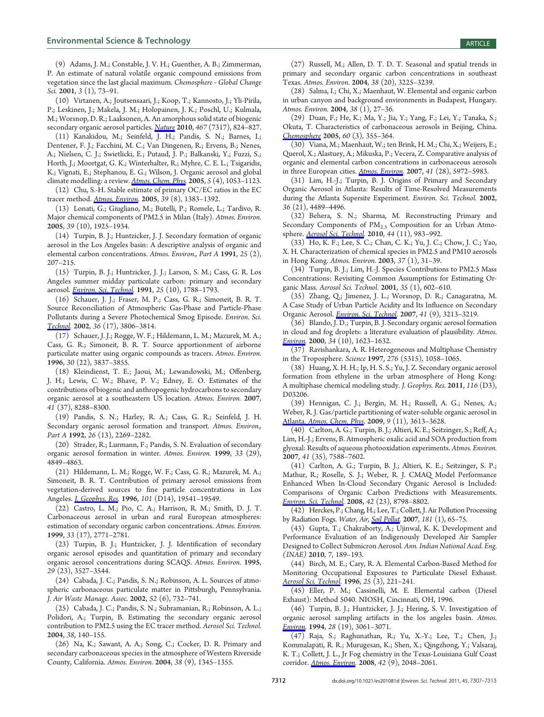(9) Adams, J. M.; Constable, J. V. H.; Guenther, A. B.; Zimmerman, P. An estimate of natural volatile organic compound emissions from vegetation since the last glacial maximum. Chemosphere - Global Change Sci. 2001, 3 (1), 73-91.

(10) Virtanen, A.; Joutsensaari, J.; Koop, T.; Kannosto, J.; Yli-Pirila, P.; Leskinen, J.; Makela, J. M.; Holopainen, J. K.; Poschl, U.; Kulmala, M.; Worsnop, D. R.; Laaksonen, A. An amorphous solid state of biogenic secondary organic aerosol particles. *Nature* 2010, 467 (7317), 824–827.

(11) Kanakidou, M.; Seinfeld, J. H.; Pandis, S. N.; Barnes, I.; Dentener, F. J.; Facchini, M. C.; Van Dingenen, R.; Ervens, B.; Nenes, A.; Nielsen, C. J.; Swietlicki, E.; Putaud, J. P.; Balkanski, Y.; Fuzzi, S.; Horth, J.; Moortgat, G. K.; Winterhalter, R.; Myhre, C. E. L.; Tsigaridis, K.; Vignati, E.; Stephanou, E. G.; Wilson, J. Organic aerosol and global climate modelling: a review. Atmos. Chem. Phys. 2005, 5 (4), 1053-1123.

(12) Chu, S.-H. Stable estimate of primary OC/EC ratios in the EC tracer method. *Atmos. Environ.* 2005, 39 (8), 1383-1392.

(13) Lonati, G.; Giugliano, M.; Butelli, P.; Romele, L.; Tardivo, R. Major chemical components of PM2.5 in Milan (Italy). Atmos. Environ. 2005, 39 (10), 1925–1934.

(14) Turpin, B. J.; Huntzicker, J. J. Secondary formation of organic aerosol in the Los Angeles basin: A descriptive analysis of organic and elemental carbon concentrations. Atmos. Environ., Part A 1991, 25 (2), 207–215.

(15) Turpin, B. J.; Huntzicker, J. J.; Larson, S. M.; Cass, G. R. Los Angeles summer midday particulate carbon: primary and secondary aerosol. <u>Environ. Sci. Technol</u>. **1991**, 25 (10), 1788–1793.

(16) Schauer, J. J.; Fraser, M. P.; Cass, G. R.; Simoneit, B. R. T. Source Reconciliation of Atmospheric Gas-Phase and Particle-Phase Pollutants during a Severe Photochemical Smog Episode. Environ. Sci. Technol. 2002, 36 (17), 3806-3814.

(17) Schauer, J. J.; Rogge, W. F.; Hildemann, L. M.; Mazurek, M. A.; Cass, G. R.; Simoneit, B. R. T. Source apportionment of airborne particulate matter using organic compounds as tracers. Atmos. Environ. 1996, 30 (22), 3837–3855.

(18) Kleindienst, T. E.; Jaoui, M.; Lewandowski, M.; Offenberg, J. H.; Lewis, C. W.; Bhave, P. V.; Edney, E. O. Estimates of the contributions of biogenic and anthropogenic hydrocarbons to secondary organic aerosol at a southeastern US location. Atmos. Environ. 2007, 41 (37), 8288–8300.

(19) Pandis, S. N.; Harley, R. A.; Cass, G. R.; Seinfeld, J. H. Secondary organic aerosol formation and transport. Atmos. Environ., Part A 1992, 26 (13), 2269-2282.

(20) Strader, R.; Lurmann, F.; Pandis, S. N. Evaluation of secondary organic aerosol formation in winter. Atmos. Environ. 1999, 33 (29), 4849–4863.

(21) Hildemann, L. M.; Rogge, W. F.; Cass, G. R.; Mazurek, M. A.; Simoneit, B. R. T. Contribution of primary aerosol emissions from vegetation-derived sources to fine particle concentrations in Los Angeles. *J. Geophys. Res.* 1996, 101 (D14), 19541-19549.

(22) Castro, L. M.; Pio, C. A.; Harrison, R. M.; Smith, D. J. T. Carbonaceous aerosol in urban and rural European atmospheres: estimation of secondary organic carbon concentrations. Atmos. Environ. 1999, 33 (17), 2771–2781.

(23) Turpin, B. J.; Huntzicker, J. J. Identification of secondary organic aerosol episodes and quantitation of primary and secondary organic aerosol concentrations during SCAQS. Atmos. Environ. 1995, 29 (23), 3527–3544.

(24) Cabada, J. C.; Pandis, S. N.; Robinson, A. L. Sources of atmospheric carbonaceous particulate matter in Pittsburgh, Pennsylvania. J. Air Waste Manage. Assoc. 2002, 52 (6), 732–741.

(25) Cabada, J. C.; Pandis, S. N.; Subramanian, R.; Robinson, A. L.; Polidori, A.; Turpin, B. Estimating the secondary organic aerosol contribution to PM2.5 using the EC tracer method. Aerosol Sci. Technol. 2004, 38, 140–155.

(26) Na, K.; Sawant, A. A.; Song, C.; Cocker, D. R. Primary and secondary carbonaceous species in the atmosphere of Western Riverside County, California. Atmos. Environ. 2004, 38 (9), 1345–1355.

(28) Salma, I.; Chi, X.; Maenhaut, W. Elemental and organic carbon in urban canyon and background environments in Budapest, Hungary. Atmos. Environ. 2004, 38 (1), 27–36.

(29) Duan, F.; He, K.; Ma, Y.; Jia, Y.; Yang, F.; Lei, Y.; Tanaka, S.; Okuta, T. Characteristics of carbonaceous aerosols in Beijing, China. Chemosphere 2005, 60 (3), 355–364.

(30) Viana, M.; Maenhaut, W.; ten Brink, H. M.; Chi, X.; Weijers, E.; Querol, X.; Alastuey, A.; Mikuska, P.; Vecera, Z. Comparative analysis of organic and elemental carbon concentrations in carbonaceous aerosols in three European cities. Atmos. Environ. 2007, 41 (28), 5972-5983.

(31) Lim, H.-J.; Turpin, B. J. Origins of Primary and Secondary Organic Aerosol in Atlanta: Results of Time-Resolved Measurements during the Atlanta Supersite Experiment. Environ. Sci. Technol. 2002, 36 (21), 4489–4496.

(32) Behera, S. N.; Sharma, M. Reconstructing Primary and Secondary Components of PM<sub>2.5</sub> Composition for an Urban Atmosphere. *Aerosol Sci. Technol*. 2010, 44 (11), 983-992.

(33) Ho, K. F.; Lee, S. C.; Chan, C. K.; Yu, J. C.; Chow, J. C.; Yao, X. H. Characterization of chemical species in PM2.5 and PM10 aerosols in Hong Kong. Atmos. Environ. 2003, 37 (1), 31–39.

(34) Turpin, B. J.; Lim, H.-J. Species Contributions to PM2.5 Mass Concentrations: Revisiting Common Assumptions for Estimating Organic Mass. Aerosol Sci. Technol. 2001, 35 (1), 602–610.

(35) Zhang, Q.; Jimenez, J. L.; Worsnop, D. R.; Canagaratna, M. A Case Study of Urban Particle Acidity and Its Influence on Secondary Organic Aerosol. *Environ. Sci. Technol*. 2007, 41 (9), 3213-3219.

(36) Blando, J. D.; Turpin, B. J. Secondary organic aerosol formation in cloud and fog droplets: a literature evaluation of plausibility. Atmos. Environ. 2000, 34 (10), 1623-1632.

(37) Ravishankara, A. R. Heterogeneous and Multiphase Chemistry in the Troposphere. Science 1997, 276 (5315), 1058–1065.

(38) Huang, X. H. H.; Ip, H. S. S.; Yu, J. Z. Secondary organic aerosol formation from ethylene in the urban atmosphere of Hong Kong: A multiphase chemical modeling study. J. Geophys. Res. 2011, 116 (D3), D03206.

(39) Hennigan, C. J.; Bergin, M. H.; Russell, A. G.; Nenes, A.; Weber, R. J. Gas/particle partitioning of water-soluble organic aerosol in Atlanta. Atmos. Chem. Phys. 2009, 9 (11), 3613-3628.

(40) Carlton, A. G.; Turpin, B. J.; Altieri, K. E.; Seitzinger, S.; Reff, A.; Lim, H.-J.; Ervens, B. Atmospheric oxalic acid and SOA production from glyoxal: Results of aqueous photooxidation experiments. Atmos. Environ. 2007, 41 (35), 7588–7602.

(41) Carlton, A. G.; Turpin, B. J.; Altieri, K. E.; Seitzinger, S. P.; Mathur, R.; Roselle, S. J.; Weber, R. J. CMAQ Model Performance Enhanced When In-Cloud Secondary Organic Aerosol is Included: Comparisons of Organic Carbon Predictions with Measurements. Environ. Sci. Technol. 2008, 42 (23), 8798-8802.

(42) Herckes, P.; Chang, H.; Lee, T.; Collett, J. Air Pollution Processing by Radiation Fogs. Water, Air, Soil Pollut. 2007, 181 (1), 65-75.

(43) Gupta, T.; Chakraborty, A.; Ujinwal, K. K. Development and Performance Evaluation of an Indigenously Developed Air Sampler Designed to Collect Submicron Aerosol. Ann. Indian National Acad. Eng. (INAE) 2010, 7, 189–193.

(44) Birch, M. E.; Cary, R. A. Elemental Carbon-Based Method for Monitoring Occupational Exposures to Particulate Diesel Exhaust. Aerosol Sci. Technol. 1996, 25 (3), 221-241.

(45) Eller, P. M.; Cassinelli, M. E. Elemental carbon (Diesel Exhaust): Method 5040. NIOSH, Cincinnati, OH, 1996.

(46) Turpin, B. J.; Huntzicker, J. J.; Hering, S. V. Investigation of organic aerosol sampling artifacts in the los angeles basin. Atmos. Environ. 1994, 28 (19), 3061-3071.

(47) Raja, S.; Raghunathan, R.; Yu, X.-Y.; Lee, T.; Chen, J.; Kommalapati, R. R.; Murugesan, K.; Shen, X.; Qingzhong, Y.; Valsaraj, K. T.; Collett, J. L., Jr Fog chemistry in the Texas-Louisiana Gulf Coast corridor. Atmos. Environ. 2008, 42 (9), 2048-2061.